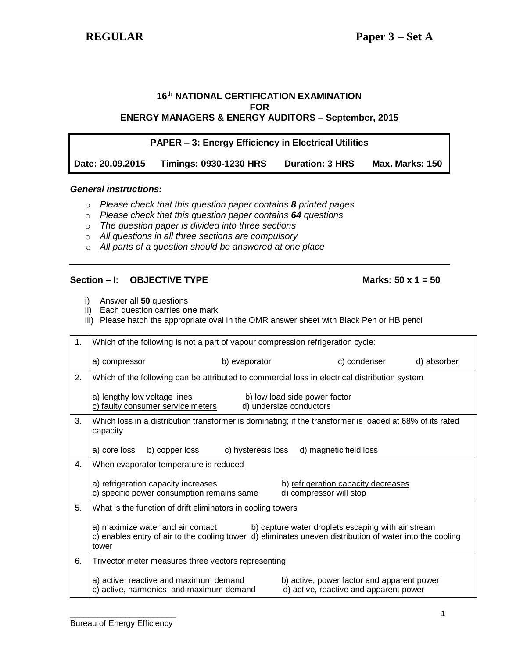### **16 th NATIONAL CERTIFICATION EXAMINATION FOR ENERGY MANAGERS & ENERGY AUDITORS – September, 2015**

| <b>PAPER – 3: Energy Efficiency in Electrical Utilities</b> |                               |                        |                        |  |  |  |  |  |
|-------------------------------------------------------------|-------------------------------|------------------------|------------------------|--|--|--|--|--|
| Date: 20.09.2015                                            | <b>Timings: 0930-1230 HRS</b> | <b>Duration: 3 HRS</b> | <b>Max. Marks: 150</b> |  |  |  |  |  |

## *General instructions:*

- o *Please check that this question paper contains 8 printed pages*
- o *Please check that this question paper contains 64 questions*
- o *The question paper is divided into three sections*
- o *All questions in all three sections are compulsory*
- o *All parts of a question should be answered at one place*

### **Section – I: OBJECTIVE TYPE Marks: 50 x 1 = 50**

- i) Answer all **50** questions
- ii) Each question carries **one** mark
- iii) Please hatch the appropriate oval in the OMR answer sheet with Black Pen or HB pencil

| 1. | Which of the following is not a part of vapour compression refrigeration cycle:                                                                                                                              |                    |                                                                                      |              |             |  |  |  |  |
|----|--------------------------------------------------------------------------------------------------------------------------------------------------------------------------------------------------------------|--------------------|--------------------------------------------------------------------------------------|--------------|-------------|--|--|--|--|
|    | a) compressor                                                                                                                                                                                                | b) evaporator      |                                                                                      | c) condenser | d) absorber |  |  |  |  |
| 2. | Which of the following can be attributed to commercial loss in electrical distribution system                                                                                                                |                    |                                                                                      |              |             |  |  |  |  |
|    | a) lengthy low voltage lines<br>c) faulty consumer service meters                                                                                                                                            |                    | b) low load side power factor<br>d) undersize conductors                             |              |             |  |  |  |  |
| 3. | Which loss in a distribution transformer is dominating; if the transformer is loaded at 68% of its rated<br>capacity                                                                                         |                    |                                                                                      |              |             |  |  |  |  |
|    | a) core loss<br>b) copper loss                                                                                                                                                                               | c) hysteresis loss | d) magnetic field loss                                                               |              |             |  |  |  |  |
| 4. | When evaporator temperature is reduced                                                                                                                                                                       |                    |                                                                                      |              |             |  |  |  |  |
|    | a) refrigeration capacity increases<br>b) refrigeration capacity decreases<br>c) specific power consumption remains same<br>d) compressor will stop                                                          |                    |                                                                                      |              |             |  |  |  |  |
| 5. | What is the function of drift eliminators in cooling towers                                                                                                                                                  |                    |                                                                                      |              |             |  |  |  |  |
|    | a) maximize water and air contact<br>b) capture water droplets escaping with air stream<br>c) enables entry of air to the cooling tower d) eliminates uneven distribution of water into the cooling<br>tower |                    |                                                                                      |              |             |  |  |  |  |
| 6. | Trivector meter measures three vectors representing                                                                                                                                                          |                    |                                                                                      |              |             |  |  |  |  |
|    | a) active, reactive and maximum demand<br>c) active, harmonics and maximum demand                                                                                                                            |                    | b) active, power factor and apparent power<br>d) active, reactive and apparent power |              |             |  |  |  |  |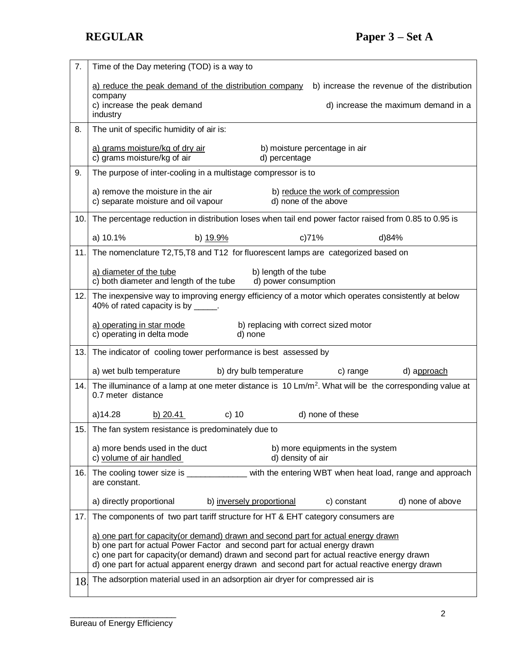| 7.  | Time of the Day metering (TOD) is a way to                                                                                                                                 |  |  |  |  |  |  |
|-----|----------------------------------------------------------------------------------------------------------------------------------------------------------------------------|--|--|--|--|--|--|
|     | a) reduce the peak demand of the distribution company<br>b) increase the revenue of the distribution                                                                       |  |  |  |  |  |  |
|     | company<br>c) increase the peak demand<br>d) increase the maximum demand in a<br>industry                                                                                  |  |  |  |  |  |  |
| 8.  | The unit of specific humidity of air is:                                                                                                                                   |  |  |  |  |  |  |
|     | a) grams moisture/kg of dry air<br>b) moisture percentage in air<br>c) grams moisture/kg of air<br>d) percentage                                                           |  |  |  |  |  |  |
| 9.  | The purpose of inter-cooling in a multistage compressor is to                                                                                                              |  |  |  |  |  |  |
|     | a) remove the moisture in the air<br>b) reduce the work of compression<br>c) separate moisture and oil vapour<br>d) none of the above                                      |  |  |  |  |  |  |
| 10. | The percentage reduction in distribution loses when tail end power factor raised from 0.85 to 0.95 is                                                                      |  |  |  |  |  |  |
|     | a) 10.1%<br>b) 19.9%<br>c)71%<br>d)84%                                                                                                                                     |  |  |  |  |  |  |
| 11. | The nomenclature T2, T5, T8 and T12 for fluorescent lamps are categorized based on                                                                                         |  |  |  |  |  |  |
|     | a) diameter of the tube<br>b) length of the tube<br>c) both diameter and length of the tube<br>d) power consumption                                                        |  |  |  |  |  |  |
|     | 12. The inexpensive way to improving energy efficiency of a motor which operates consistently at below<br>40% of rated capacity is by _____.                               |  |  |  |  |  |  |
|     | a) operating in star mode<br>b) replacing with correct sized motor<br>c) operating in delta mode<br>d) none                                                                |  |  |  |  |  |  |
| 13. | The indicator of cooling tower performance is best assessed by                                                                                                             |  |  |  |  |  |  |
|     | a) wet bulb temperature<br>b) dry bulb temperature<br>c) range<br>d) approach                                                                                              |  |  |  |  |  |  |
| 14. | The illuminance of a lamp at one meter distance is $10 \text{ Lm/m}^2$ . What will be the corresponding value at<br>0.7 meter distance                                     |  |  |  |  |  |  |
|     | $\sim$ C) 10<br>a)14.28<br>b) $20.41$<br>d) none of these                                                                                                                  |  |  |  |  |  |  |
|     | 15. The fan system resistance is predominately due to                                                                                                                      |  |  |  |  |  |  |
|     | a) more bends used in the duct<br>b) more equipments in the system<br>c) volume of air handled<br>d) density of air                                                        |  |  |  |  |  |  |
| 16. | The cooling tower size is _______________ with the entering WBT when heat load, range and approach<br>are constant.                                                        |  |  |  |  |  |  |
|     | a) directly proportional<br>b) inversely proportional<br>d) none of above<br>c) constant                                                                                   |  |  |  |  |  |  |
| 17. | The components of two part tariff structure for HT & EHT category consumers are                                                                                            |  |  |  |  |  |  |
|     | a) one part for capacity(or demand) drawn and second part for actual energy drawn                                                                                          |  |  |  |  |  |  |
|     | b) one part for actual Power Factor and second part for actual energy drawn<br>c) one part for capacity (or demand) drawn and second part for actual reactive energy drawn |  |  |  |  |  |  |
|     | d) one part for actual apparent energy drawn and second part for actual reactive energy drawn                                                                              |  |  |  |  |  |  |
| 18. | The adsorption material used in an adsorption air dryer for compressed air is                                                                                              |  |  |  |  |  |  |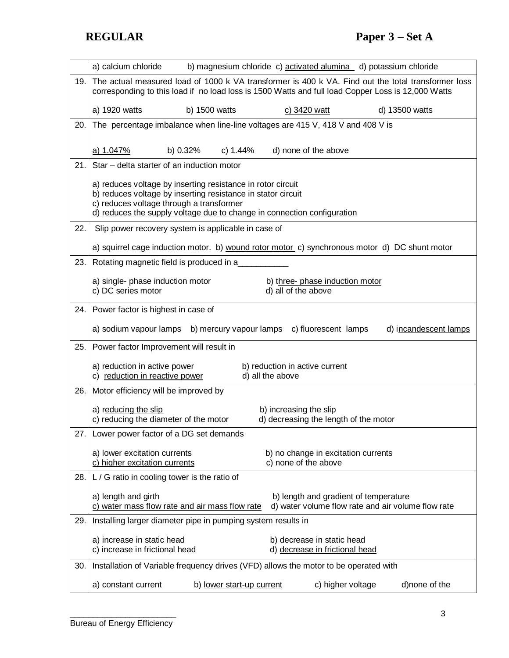|     | a) calcium chloride<br>b) magnesium chloride c) activated alumina d) potassium chloride                                                                                                                  |  |  |  |  |  |  |  |  |
|-----|----------------------------------------------------------------------------------------------------------------------------------------------------------------------------------------------------------|--|--|--|--|--|--|--|--|
| 19. | The actual measured load of 1000 k VA transformer is 400 k VA. Find out the total transformer loss<br>corresponding to this load if no load loss is 1500 Watts and full load Copper Loss is 12,000 Watts |  |  |  |  |  |  |  |  |
|     | a) 1920 watts<br>b) 1500 watts<br>c) 3420 watt<br>d) 13500 watts                                                                                                                                         |  |  |  |  |  |  |  |  |
| 20. | The percentage imbalance when line-line voltages are 415 V, 418 V and 408 V is                                                                                                                           |  |  |  |  |  |  |  |  |
|     | a) 1.047%<br>b) 0.32%<br>c) 1.44%<br>d) none of the above                                                                                                                                                |  |  |  |  |  |  |  |  |
| 21. | Star - delta starter of an induction motor                                                                                                                                                               |  |  |  |  |  |  |  |  |
|     |                                                                                                                                                                                                          |  |  |  |  |  |  |  |  |
|     | a) reduces voltage by inserting resistance in rotor circuit<br>b) reduces voltage by inserting resistance in stator circuit                                                                              |  |  |  |  |  |  |  |  |
|     | c) reduces voltage through a transformer<br>d) reduces the supply voltage due to change in connection configuration                                                                                      |  |  |  |  |  |  |  |  |
| 22. | Slip power recovery system is applicable in case of                                                                                                                                                      |  |  |  |  |  |  |  |  |
|     | a) squirrel cage induction motor. b) wound rotor motor c) synchronous motor d) DC shunt motor                                                                                                            |  |  |  |  |  |  |  |  |
| 23. | Rotating magnetic field is produced in a                                                                                                                                                                 |  |  |  |  |  |  |  |  |
|     |                                                                                                                                                                                                          |  |  |  |  |  |  |  |  |
|     | a) single- phase induction motor<br>b) three- phase induction motor<br>d) all of the above<br>c) DC series motor                                                                                         |  |  |  |  |  |  |  |  |
| 24. | Power factor is highest in case of                                                                                                                                                                       |  |  |  |  |  |  |  |  |
|     | a) sodium vapour lamps b) mercury vapour lamps c) fluorescent lamps<br>d) incandescent lamps                                                                                                             |  |  |  |  |  |  |  |  |
| 25. | Power factor Improvement will result in                                                                                                                                                                  |  |  |  |  |  |  |  |  |
|     | a) reduction in active power<br>b) reduction in active current                                                                                                                                           |  |  |  |  |  |  |  |  |
|     | c) reduction in reactive power<br>d) all the above                                                                                                                                                       |  |  |  |  |  |  |  |  |
| 26. | Motor efficiency will be improved by                                                                                                                                                                     |  |  |  |  |  |  |  |  |
|     | a) reducing the slip<br>b) increasing the slip<br>c) reducing the diameter of the motor<br>d) decreasing the length of the motor                                                                         |  |  |  |  |  |  |  |  |
| 27. | Lower power factor of a DG set demands                                                                                                                                                                   |  |  |  |  |  |  |  |  |
|     | a) lower excitation currents<br>b) no change in excitation currents                                                                                                                                      |  |  |  |  |  |  |  |  |
|     | c) higher excitation currents<br>c) none of the above                                                                                                                                                    |  |  |  |  |  |  |  |  |
| 28. | L / G ratio in cooling tower is the ratio of                                                                                                                                                             |  |  |  |  |  |  |  |  |
|     | a) length and girth<br>b) length and gradient of temperature                                                                                                                                             |  |  |  |  |  |  |  |  |
|     | d) water volume flow rate and air volume flow rate<br>c) water mass flow rate and air mass flow rate                                                                                                     |  |  |  |  |  |  |  |  |
| 29. | Installing larger diameter pipe in pumping system results in                                                                                                                                             |  |  |  |  |  |  |  |  |
|     | a) increase in static head<br>b) decrease in static head<br>c) increase in frictional head<br>d) decrease in frictional head                                                                             |  |  |  |  |  |  |  |  |
| 30. | Installation of Variable frequency drives (VFD) allows the motor to be operated with                                                                                                                     |  |  |  |  |  |  |  |  |
|     |                                                                                                                                                                                                          |  |  |  |  |  |  |  |  |
|     | b) lower start-up current<br>c) higher voltage<br>d)none of the<br>a) constant current                                                                                                                   |  |  |  |  |  |  |  |  |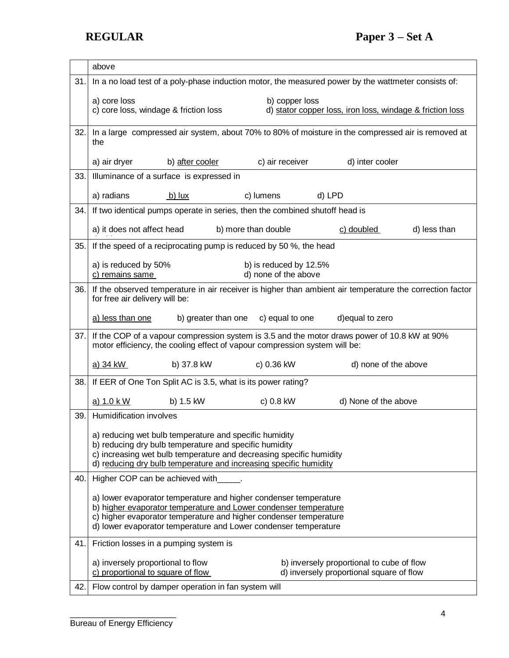|     | above                                                                                                                                                                                                                                                                        |  |  |  |  |  |  |  |
|-----|------------------------------------------------------------------------------------------------------------------------------------------------------------------------------------------------------------------------------------------------------------------------------|--|--|--|--|--|--|--|
| 31. | In a no load test of a poly-phase induction motor, the measured power by the wattmeter consists of:                                                                                                                                                                          |  |  |  |  |  |  |  |
|     | a) core loss<br>b) copper loss                                                                                                                                                                                                                                               |  |  |  |  |  |  |  |
|     | c) core loss, windage & friction loss<br>d) stator copper loss, iron loss, windage & friction loss                                                                                                                                                                           |  |  |  |  |  |  |  |
| 32. | In a large compressed air system, about 70% to 80% of moisture in the compressed air is removed at<br>the                                                                                                                                                                    |  |  |  |  |  |  |  |
|     | c) air receiver<br>d) inter cooler<br>a) air dryer<br>b) after cooler                                                                                                                                                                                                        |  |  |  |  |  |  |  |
| 33. | Illuminance of a surface is expressed in                                                                                                                                                                                                                                     |  |  |  |  |  |  |  |
|     | a) radians<br>c) lumens<br>d) LPD<br>b) $lux$                                                                                                                                                                                                                                |  |  |  |  |  |  |  |
| 34. | If two identical pumps operate in series, then the combined shutoff head is                                                                                                                                                                                                  |  |  |  |  |  |  |  |
|     | a) it does not affect head<br>b) more than double<br>c) doubled<br>d) less than                                                                                                                                                                                              |  |  |  |  |  |  |  |
| 35. | If the speed of a reciprocating pump is reduced by 50 %, the head                                                                                                                                                                                                            |  |  |  |  |  |  |  |
|     | a) is reduced by 50%<br>b) is reduced by 12.5%<br>c) remains same<br>d) none of the above                                                                                                                                                                                    |  |  |  |  |  |  |  |
| 36. | If the observed temperature in air receiver is higher than ambient air temperature the correction factor<br>for free air delivery will be:                                                                                                                                   |  |  |  |  |  |  |  |
|     | a) less than one<br>d) equal to zero<br>b) greater than one<br>c) equal to one                                                                                                                                                                                               |  |  |  |  |  |  |  |
| 37. | If the COP of a vapour compression system is 3.5 and the motor draws power of 10.8 kW at 90%<br>motor efficiency, the cooling effect of vapour compression system will be:                                                                                                   |  |  |  |  |  |  |  |
|     | a) 34 kW<br>b) 37.8 kW<br>c) 0.36 kW<br>d) none of the above                                                                                                                                                                                                                 |  |  |  |  |  |  |  |
| 38. | If EER of One Ton Split AC is 3.5, what is its power rating?                                                                                                                                                                                                                 |  |  |  |  |  |  |  |
|     | a) 1.0 k W<br>b) 1.5 kW<br>c) 0.8 kW<br>d) None of the above                                                                                                                                                                                                                 |  |  |  |  |  |  |  |
| 39. | Humidification involves                                                                                                                                                                                                                                                      |  |  |  |  |  |  |  |
|     | a) reducing wet bulb temperature and specific humidity<br>b) reducing dry bulb temperature and specific humidity<br>c) increasing wet bulb temperature and decreasing specific humidity<br>d) reducing dry bulb temperature and increasing specific humidity                 |  |  |  |  |  |  |  |
| 40. | Higher COP can be achieved with                                                                                                                                                                                                                                              |  |  |  |  |  |  |  |
|     | a) lower evaporator temperature and higher condenser temperature<br>b) higher evaporator temperature and Lower condenser temperature<br>c) higher evaporator temperature and higher condenser temperature<br>d) lower evaporator temperature and Lower condenser temperature |  |  |  |  |  |  |  |
| 41. | Friction losses in a pumping system is                                                                                                                                                                                                                                       |  |  |  |  |  |  |  |
|     | a) inversely proportional to flow<br>b) inversely proportional to cube of flow<br>d) inversely proportional square of flow<br>c) proportional to square of flow                                                                                                              |  |  |  |  |  |  |  |
| 42. | Flow control by damper operation in fan system will                                                                                                                                                                                                                          |  |  |  |  |  |  |  |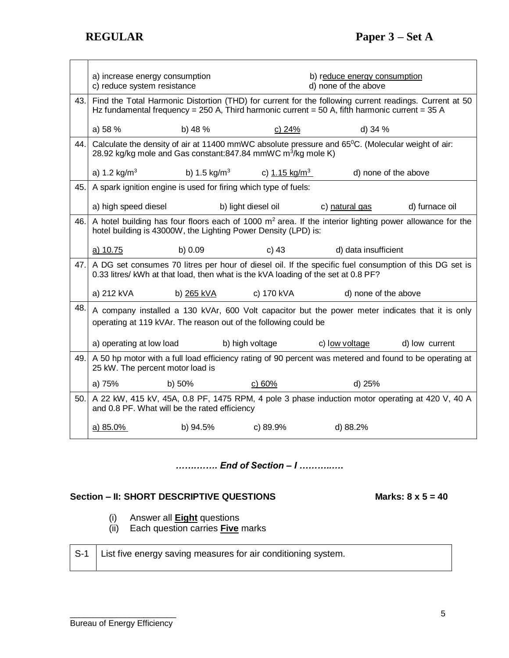|     | a) increase energy consumption   |                                                                                   |                                                  | b) reduce energy consumption                                                                                                                                                                             |                |  |  |
|-----|----------------------------------|-----------------------------------------------------------------------------------|--------------------------------------------------|----------------------------------------------------------------------------------------------------------------------------------------------------------------------------------------------------------|----------------|--|--|
|     | c) reduce system resistance      |                                                                                   | d) none of the above                             |                                                                                                                                                                                                          |                |  |  |
| 43. |                                  |                                                                                   |                                                  | Find the Total Harmonic Distortion (THD) for current for the following current readings. Current at 50<br>Hz fundamental frequency = 250 A, Third harmonic current = 50 A, fifth harmonic current = 35 A |                |  |  |
|     | a) 58 %                          | b) $48%$                                                                          | c) $24%$                                         | d) 34 %                                                                                                                                                                                                  |                |  |  |
| 44. |                                  | 28.92 kg/kg mole and Gas constant:847.84 mmWC m <sup>3</sup> /kg mole K)          |                                                  | Calculate the density of air at 11400 mmWC absolute pressure and 65°C. (Molecular weight of air:                                                                                                         |                |  |  |
|     | a) 1.2 $kg/m3$                   |                                                                                   | b) $1.5 \text{ kg/m}^3$ c) $1.15 \text{ kg/m}^3$ | d) none of the above                                                                                                                                                                                     |                |  |  |
| 45. |                                  | A spark ignition engine is used for firing which type of fuels:                   |                                                  |                                                                                                                                                                                                          |                |  |  |
|     | a) high speed diesel             |                                                                                   | b) light diesel oil                              | c) natural gas                                                                                                                                                                                           | d) furnace oil |  |  |
| 46. |                                  | hotel building is 43000W, the Lighting Power Density (LPD) is:                    |                                                  | A hotel building has four floors each of 1000 $m2$ area. If the interior lighting power allowance for the                                                                                                |                |  |  |
|     | a) 10.75                         | b) 0.09                                                                           | c) $43$                                          | d) data insufficient                                                                                                                                                                                     |                |  |  |
| 47. |                                  | 0.33 litres/ kWh at that load, then what is the kVA loading of the set at 0.8 PF? |                                                  | A DG set consumes 70 litres per hour of diesel oil. If the specific fuel consumption of this DG set is                                                                                                   |                |  |  |
|     | a) 212 kVA                       | b) 265 kVA                                                                        | c) 170 kVA                                       | d) none of the above                                                                                                                                                                                     |                |  |  |
| 48. |                                  | operating at 119 kVAr. The reason out of the following could be                   |                                                  | A company installed a 130 kVAr, 600 Volt capacitor but the power meter indicates that it is only                                                                                                         |                |  |  |
|     | a) operating at low load         |                                                                                   | b) high voltage                                  | c) low voltage                                                                                                                                                                                           | d) low current |  |  |
| 49. | 25 kW. The percent motor load is |                                                                                   |                                                  | A 50 hp motor with a full load efficiency rating of 90 percent was metered and found to be operating at                                                                                                  |                |  |  |
|     | a) 75%                           | b) $50\%$                                                                         | c) 60%                                           | d) 25%                                                                                                                                                                                                   |                |  |  |
| 50. |                                  | and 0.8 PF. What will be the rated efficiency                                     |                                                  | A 22 kW, 415 kV, 45A, 0.8 PF, 1475 RPM, 4 pole 3 phase induction motor operating at 420 V, 40 A                                                                                                          |                |  |  |
|     | a) 85.0%                         | b) $94.5%$                                                                        | $\sim$ 0) 89.9%                                  | d) 88.2%                                                                                                                                                                                                 |                |  |  |

| End of Section - I |  |  |  |  |  |  |  |
|--------------------|--|--|--|--|--|--|--|
|                    |  |  |  |  |  |  |  |

# Section – II: SHORT DESCRIPTIVE QUESTIONS Marks: 8 x 5 = 40

- (i) Answer all **Eight** questions
- (ii) Each question carries **Five** marks

| S-1   List five energy saving measures for air conditioning system. |
|---------------------------------------------------------------------|
|                                                                     |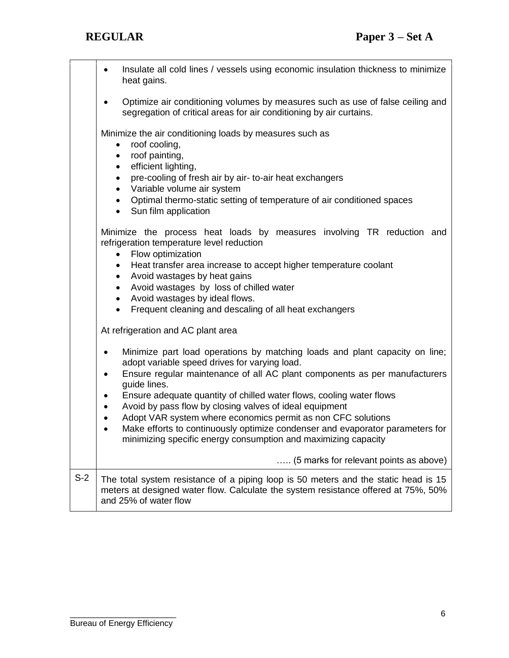|       | Insulate all cold lines / vessels using economic insulation thickness to minimize<br>$\bullet$<br>heat gains.                                                                                                                                                                                                                                                                                                                                                                                                                                                                                                                                                           |  |  |  |  |  |  |  |  |
|-------|-------------------------------------------------------------------------------------------------------------------------------------------------------------------------------------------------------------------------------------------------------------------------------------------------------------------------------------------------------------------------------------------------------------------------------------------------------------------------------------------------------------------------------------------------------------------------------------------------------------------------------------------------------------------------|--|--|--|--|--|--|--|--|
|       | Optimize air conditioning volumes by measures such as use of false ceiling and<br>٠<br>segregation of critical areas for air conditioning by air curtains.                                                                                                                                                                                                                                                                                                                                                                                                                                                                                                              |  |  |  |  |  |  |  |  |
|       | Minimize the air conditioning loads by measures such as<br>roof cooling,<br>roof painting,<br>٠<br>efficient lighting,<br>$\bullet$<br>pre-cooling of fresh air by air- to-air heat exchangers<br>$\bullet$<br>Variable volume air system<br>$\bullet$<br>Optimal thermo-static setting of temperature of air conditioned spaces<br>$\bullet$<br>Sun film application<br>$\bullet$                                                                                                                                                                                                                                                                                      |  |  |  |  |  |  |  |  |
|       | Minimize the process heat loads by measures involving TR reduction and<br>refrigeration temperature level reduction<br>Flow optimization<br>Heat transfer area increase to accept higher temperature coolant<br>٠<br>Avoid wastages by heat gains<br>$\bullet$<br>Avoid wastages by loss of chilled water<br>$\bullet$<br>Avoid wastages by ideal flows.<br>$\bullet$<br>Frequent cleaning and descaling of all heat exchangers<br>$\bullet$                                                                                                                                                                                                                            |  |  |  |  |  |  |  |  |
|       | At refrigeration and AC plant area<br>Minimize part load operations by matching loads and plant capacity on line;<br>$\bullet$<br>adopt variable speed drives for varying load.<br>Ensure regular maintenance of all AC plant components as per manufacturers<br>٠<br>guide lines.<br>Ensure adequate quantity of chilled water flows, cooling water flows<br>٠<br>Avoid by pass flow by closing valves of ideal equipment<br>$\bullet$<br>Adopt VAR system where economics permit as non CFC solutions<br>$\bullet$<br>Make efforts to continuously optimize condenser and evaporator parameters for<br>minimizing specific energy consumption and maximizing capacity |  |  |  |  |  |  |  |  |
|       | (5 marks for relevant points as above)                                                                                                                                                                                                                                                                                                                                                                                                                                                                                                                                                                                                                                  |  |  |  |  |  |  |  |  |
| $S-2$ | The total system resistance of a piping loop is 50 meters and the static head is 15<br>meters at designed water flow. Calculate the system resistance offered at 75%, 50%<br>and 25% of water flow                                                                                                                                                                                                                                                                                                                                                                                                                                                                      |  |  |  |  |  |  |  |  |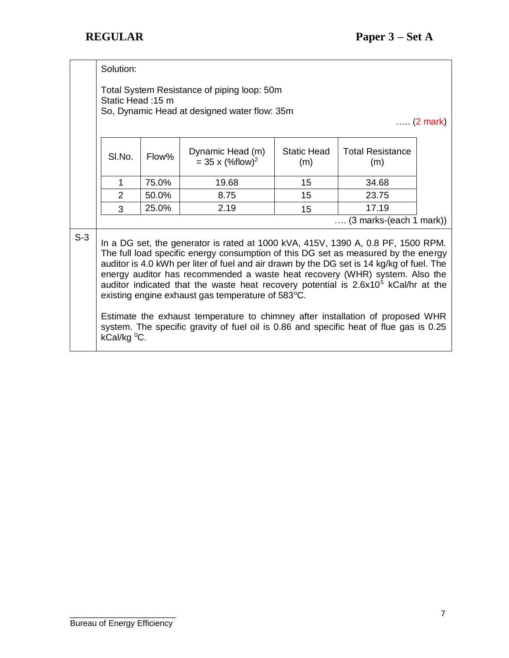|       | Solution:                                                                                                                                                                                                                                                                                                                                                                                                                                                                                                 |       |       |    |                                   |  |  |  |  |
|-------|-----------------------------------------------------------------------------------------------------------------------------------------------------------------------------------------------------------------------------------------------------------------------------------------------------------------------------------------------------------------------------------------------------------------------------------------------------------------------------------------------------------|-------|-------|----|-----------------------------------|--|--|--|--|
|       | Total System Resistance of piping loop: 50m<br>Static Head: 15 m<br>So, Dynamic Head at designed water flow: 35m<br>$\ldots$ (2 mark)                                                                                                                                                                                                                                                                                                                                                                     |       |       |    |                                   |  |  |  |  |
|       | <b>Static Head</b><br><b>Total Resistance</b><br>Dynamic Head (m)<br>SI.No.<br>Flow%<br>$= 35 \times (%flow)^{2}$<br>(m)<br>(m)                                                                                                                                                                                                                                                                                                                                                                           |       |       |    |                                   |  |  |  |  |
|       | 1                                                                                                                                                                                                                                                                                                                                                                                                                                                                                                         | 75.0% | 19.68 | 15 | 34.68                             |  |  |  |  |
|       | $\overline{2}$                                                                                                                                                                                                                                                                                                                                                                                                                                                                                            | 50.0% | 8.75  | 15 | 23.75                             |  |  |  |  |
|       | 3                                                                                                                                                                                                                                                                                                                                                                                                                                                                                                         | 25.0% | 2.19  | 15 | 17.19                             |  |  |  |  |
|       |                                                                                                                                                                                                                                                                                                                                                                                                                                                                                                           |       |       |    | $(3 \text{ marks-(each 1 mark)})$ |  |  |  |  |
| $S-3$ | In a DG set, the generator is rated at 1000 kVA, 415V, 1390 A, 0.8 PF, 1500 RPM.<br>The full load specific energy consumption of this DG set as measured by the energy<br>auditor is 4.0 kWh per liter of fuel and air drawn by the DG set is 14 kg/kg of fuel. The<br>energy auditor has recommended a waste heat recovery (WHR) system. Also the<br>auditor indicated that the waste heat recovery potential is 2.6x10 <sup>5</sup> kCal/hr at the<br>existing engine exhaust gas temperature of 583°C. |       |       |    |                                   |  |  |  |  |
|       | Estimate the exhaust temperature to chimney after installation of proposed WHR<br>system. The specific gravity of fuel oil is 0.86 and specific heat of flue gas is 0.25<br>kCal/kg <sup>o</sup> C.                                                                                                                                                                                                                                                                                                       |       |       |    |                                   |  |  |  |  |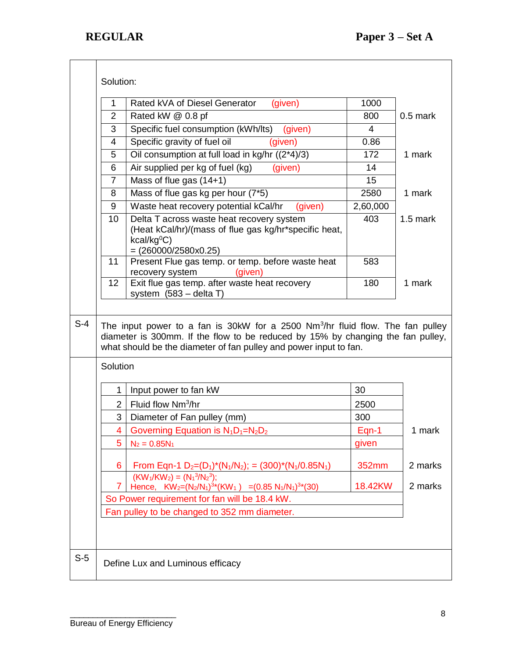|       | Solution:      |                                                                                                                                                                                                                                                    |          |            |
|-------|----------------|----------------------------------------------------------------------------------------------------------------------------------------------------------------------------------------------------------------------------------------------------|----------|------------|
|       | 1              | Rated kVA of Diesel Generator<br>(given)                                                                                                                                                                                                           | 1000     |            |
|       | $\overline{2}$ | Rated kW @ 0.8 pf                                                                                                                                                                                                                                  | 800      | $0.5$ mark |
|       | 3              | Specific fuel consumption (kWh/lts)<br>(given)                                                                                                                                                                                                     | 4        |            |
|       | 4              | Specific gravity of fuel oil<br>(given)                                                                                                                                                                                                            | 0.86     |            |
|       | 5              | Oil consumption at full load in kg/hr ((2*4)/3)                                                                                                                                                                                                    | 172      | 1 mark     |
|       | 6              | Air supplied per kg of fuel (kg)<br>(given)                                                                                                                                                                                                        | 14       |            |
|       | $\overline{7}$ | Mass of flue gas (14+1)                                                                                                                                                                                                                            | 15       |            |
|       | 8              | Mass of flue gas kg per hour (7*5)                                                                                                                                                                                                                 | 2580     | 1 mark     |
|       | 9              | Waste heat recovery potential kCal/hr<br>(given)                                                                                                                                                                                                   | 2,60,000 |            |
|       | 10             | Delta T across waste heat recovery system<br>(Heat kCal/hr)/(mass of flue gas kg/hr*specific heat,<br>kcal/kg <sup>0</sup> C)<br>$= (260000/2580x0.25)$                                                                                            | 403      | $1.5$ mark |
|       | 11             | Present Flue gas temp. or temp. before waste heat<br>(given)<br>recovery system                                                                                                                                                                    | 583      |            |
|       | 12             | Exit flue gas temp. after waste heat recovery<br>system $(583 - delta T)$                                                                                                                                                                          | 180      | 1 mark     |
| $S-4$ | Solution       | The input power to a fan is 30kW for a 2500 Nm <sup>3</sup> /hr fluid flow. The fan pulley<br>diameter is 300mm. If the flow to be reduced by 15% by changing the fan pulley,<br>what should be the diameter of fan pulley and power input to fan. |          |            |
|       |                |                                                                                                                                                                                                                                                    |          |            |
|       | 1              | Input power to fan kW                                                                                                                                                                                                                              | 30       |            |
|       | $\overline{2}$ | Fluid flow Nm <sup>3</sup> /hr                                                                                                                                                                                                                     | 2500     |            |
|       | 3              | Diameter of Fan pulley (mm)                                                                                                                                                                                                                        | 300      |            |
|       | $\overline{4}$ | Governing Equation is $N_1D_1=N_2D_2$                                                                                                                                                                                                              | $Eqn-1$  | 1 mark     |
|       | 5              | $N_2 = 0.85N_1$                                                                                                                                                                                                                                    | given    |            |
|       | 6              | From Eqn-1 $D_2=(D_1)^*(N_1/N_2)$ ; = (300)*(N <sub>1</sub> /0.85N <sub>1</sub> )                                                                                                                                                                  | 352mm    | 2 marks    |
|       | $\mathbf{7}$   | $(KW_1/KW_2) = (N_1^3/N_2^3)$ ;<br>Hence, $KW_2=(N_2/N_1)^{3*}(KW_1) = (0.85 N_1/N_1)^{3*}(30)$                                                                                                                                                    | 18.42KW  | 2 marks    |
|       |                | So Power requirement for fan will be 18.4 kW.                                                                                                                                                                                                      |          |            |
|       |                | Fan pulley to be changed to 352 mm diameter.                                                                                                                                                                                                       |          |            |
|       |                |                                                                                                                                                                                                                                                    |          |            |
| $S-5$ |                | Define Lux and Luminous efficacy                                                                                                                                                                                                                   |          |            |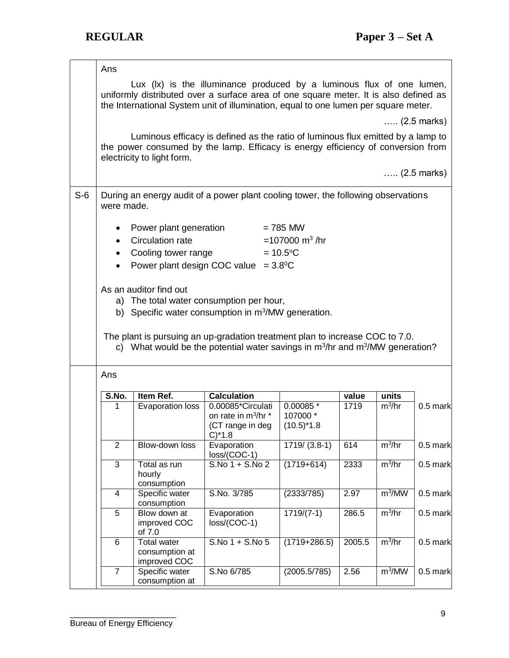|       | Ans            |                                                                                                                                                                   |                                                                                                                                                                                                                                                      |                                       |        |                    |                       |  |  |  |
|-------|----------------|-------------------------------------------------------------------------------------------------------------------------------------------------------------------|------------------------------------------------------------------------------------------------------------------------------------------------------------------------------------------------------------------------------------------------------|---------------------------------------|--------|--------------------|-----------------------|--|--|--|
|       |                |                                                                                                                                                                   | Lux (Ix) is the illuminance produced by a luminous flux of one lumen,<br>uniformly distributed over a surface area of one square meter. It is also defined as<br>the International System unit of illumination, equal to one lumen per square meter. |                                       |        |                    |                       |  |  |  |
|       |                |                                                                                                                                                                   |                                                                                                                                                                                                                                                      |                                       |        |                    | $(2.5 \text{ marks})$ |  |  |  |
|       |                | electricity to light form.                                                                                                                                        | Luminous efficacy is defined as the ratio of luminous flux emitted by a lamp to<br>the power consumed by the lamp. Efficacy is energy efficiency of conversion from                                                                                  |                                       |        |                    |                       |  |  |  |
|       |                |                                                                                                                                                                   |                                                                                                                                                                                                                                                      |                                       |        |                    | $(2.5 \text{ marks})$ |  |  |  |
| $S-6$ | were made.     |                                                                                                                                                                   | During an energy audit of a power plant cooling tower, the following observations                                                                                                                                                                    |                                       |        |                    |                       |  |  |  |
|       |                | Power plant generation                                                                                                                                            |                                                                                                                                                                                                                                                      | $= 785$ MW                            |        |                    |                       |  |  |  |
|       | $\bullet$      | Circulation rate                                                                                                                                                  |                                                                                                                                                                                                                                                      | =107000 $m^3$ /hr                     |        |                    |                       |  |  |  |
|       | ٠              | Cooling tower range                                                                                                                                               |                                                                                                                                                                                                                                                      | $= 10.5$ °C                           |        |                    |                       |  |  |  |
|       |                |                                                                                                                                                                   | Power plant design COC value = $3.8^{\circ}$ C                                                                                                                                                                                                       |                                       |        |                    |                       |  |  |  |
|       |                |                                                                                                                                                                   |                                                                                                                                                                                                                                                      |                                       |        |                    |                       |  |  |  |
|       |                | As an auditor find out                                                                                                                                            |                                                                                                                                                                                                                                                      |                                       |        |                    |                       |  |  |  |
|       |                |                                                                                                                                                                   | a) The total water consumption per hour,                                                                                                                                                                                                             |                                       |        |                    |                       |  |  |  |
|       |                |                                                                                                                                                                   | b) Specific water consumption in m <sup>3</sup> /MW generation.                                                                                                                                                                                      |                                       |        |                    |                       |  |  |  |
|       |                |                                                                                                                                                                   |                                                                                                                                                                                                                                                      |                                       |        |                    |                       |  |  |  |
|       |                | The plant is pursuing an up-gradation treatment plan to increase COC to 7.0.<br>c) What would be the potential water savings in $m^3/hr$ and $m^3/MW$ generation? |                                                                                                                                                                                                                                                      |                                       |        |                    |                       |  |  |  |
|       | Ans            |                                                                                                                                                                   |                                                                                                                                                                                                                                                      |                                       |        |                    |                       |  |  |  |
|       | S.No.          | Item Ref.                                                                                                                                                         | <b>Calculation</b>                                                                                                                                                                                                                                   |                                       | value  | units              |                       |  |  |  |
|       | 1              | Evaporation loss                                                                                                                                                  | 0.00085*Circulati                                                                                                                                                                                                                                    | 0.00085 *                             | 1719   | $m^3/hr$           | $0.5$ mark            |  |  |  |
|       |                |                                                                                                                                                                   | on rate in m <sup>3</sup> /hr *<br>(CT range in deg                                                                                                                                                                                                  | 107000 *<br>$(10.5)$ <sup>*</sup> 1.8 |        |                    |                       |  |  |  |
|       |                |                                                                                                                                                                   | $C$ <sup>*</sup> 1.8                                                                                                                                                                                                                                 |                                       |        |                    |                       |  |  |  |
|       | $\overline{2}$ | Blow-down loss                                                                                                                                                    | Evaporation<br>loss/(COC-1)                                                                                                                                                                                                                          | $1719/ (3.8-1)$                       | 614    | $m^3/hr$           | $0.5$ mark            |  |  |  |
|       | 3              | Total as run<br>hourly<br>consumption                                                                                                                             | S.No 1 + S.No 2                                                                                                                                                                                                                                      | $(1719+614)$                          | 2333   | $m^3/hr$           | $0.5$ mark            |  |  |  |
|       | 4              | Specific water<br>consumption                                                                                                                                     | S.No. 3/785                                                                                                                                                                                                                                          | (2333/785)                            | 2.97   | m <sup>3</sup> /MW | $0.5$ mark            |  |  |  |
|       | 5              | Blow down at<br>improved COC<br>of 7.0                                                                                                                            | Evaporation<br>loss/(COC-1)                                                                                                                                                                                                                          | $1719/(7-1)$                          | 286.5  | $m^3/hr$           | $0.5$ mark            |  |  |  |
|       | 6              | <b>Total water</b><br>consumption at<br>improved COC                                                                                                              | $S.No 1 + S.No 5$                                                                                                                                                                                                                                    | $(1719+286.5)$                        | 2005.5 | $m^3/hr$           | $0.5$ mark            |  |  |  |
|       | $\overline{7}$ | Specific water<br>consumption at                                                                                                                                  | S.No 6/785                                                                                                                                                                                                                                           | (2005.5/785)                          | 2.56   | m <sup>3</sup> /MW | $0.5$ mark            |  |  |  |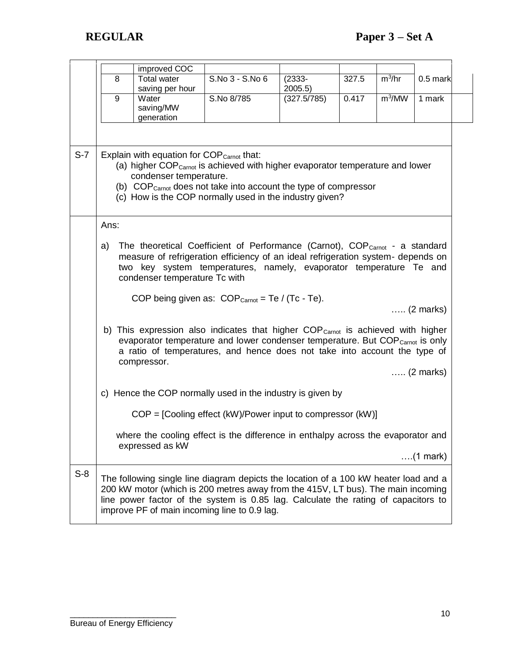|       |      | improved COC                                                                    |                                                                                                                                                                                                                                                                                                                |                      |       |                    |                    |
|-------|------|---------------------------------------------------------------------------------|----------------------------------------------------------------------------------------------------------------------------------------------------------------------------------------------------------------------------------------------------------------------------------------------------------------|----------------------|-------|--------------------|--------------------|
|       | 8    | <b>Total water</b><br>saving per hour                                           | S.No 3 - S.No 6                                                                                                                                                                                                                                                                                                | $(2333 -$<br>2005.5) | 327.5 | $m^3/hr$           | $0.5$ mark         |
|       | 9    | Water<br>saving/MW<br>generation                                                | S.No 8/785                                                                                                                                                                                                                                                                                                     | (327.5/785)          | 0.417 | m <sup>3</sup> /MW | 1 mark             |
| $S-7$ |      | Explain with equation for COP <sub>Carnot</sub> that:<br>condenser temperature. | (a) higher COP <sub>Carnot</sub> is achieved with higher evaporator temperature and lower<br>(b) COP <sub>Carnot</sub> does not take into account the type of compressor<br>(c) How is the COP normally used in the industry given?                                                                            |                      |       |                    |                    |
|       | Ans: |                                                                                 |                                                                                                                                                                                                                                                                                                                |                      |       |                    |                    |
|       | a)   | condenser temperature Tc with                                                   | The theoretical Coefficient of Performance (Carnot), COP <sub>Carnot</sub> - a standard<br>measure of refrigeration efficiency of an ideal refrigeration system- depends on<br>two key system temperatures, namely, evaporator temperature Te and<br>COP being given as: $COP_{Carnot} = Te / (Tc - Te)$ .     |                      |       |                    | $\ldots$ (2 marks) |
|       |      | compressor.                                                                     | b) This expression also indicates that higher COP <sub>Carnot</sub> is achieved with higher<br>evaporator temperature and lower condenser temperature. But COP <sub>Carnot</sub> is only<br>a ratio of temperatures, and hence does not take into account the type of                                          |                      |       |                    | $\ldots$ (2 marks) |
|       |      |                                                                                 | c) Hence the COP normally used in the industry is given by                                                                                                                                                                                                                                                     |                      |       |                    |                    |
|       |      |                                                                                 | $COP = [Cooling effect (kW)/Power input to compressor (kW)]$                                                                                                                                                                                                                                                   |                      |       |                    |                    |
|       |      | expressed as kW                                                                 | where the cooling effect is the difference in enthalpy across the evaporator and                                                                                                                                                                                                                               |                      |       |                    |                    |
|       |      |                                                                                 |                                                                                                                                                                                                                                                                                                                |                      |       |                    | $\ldots$ (1 mark)  |
| $S-8$ |      |                                                                                 | The following single line diagram depicts the location of a 100 kW heater load and a<br>200 kW motor (which is 200 metres away from the 415V, LT bus). The main incoming<br>line power factor of the system is 0.85 lag. Calculate the rating of capacitors to<br>improve PF of main incoming line to 0.9 lag. |                      |       |                    |                    |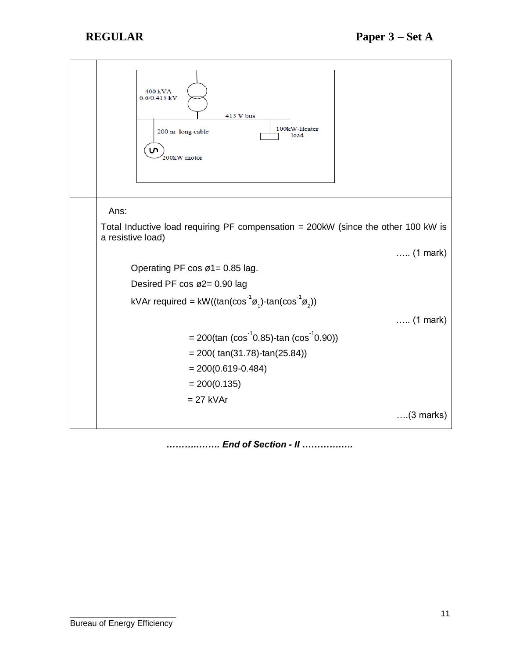

*………..……. End of Section - II ………….….*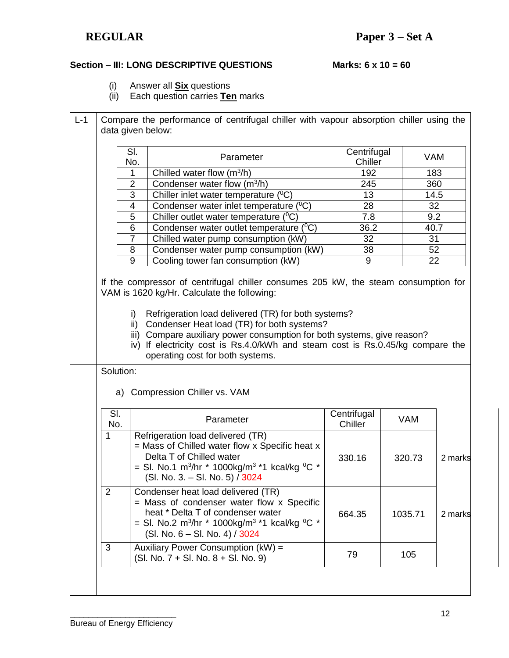## **Section – III: LONG DESCRIPTIVE QUESTIONS Marks: 6 x 10 = 60**

- (i) Answer all **Six** questions
- (ii) Each question carries **Ten** marks

|                | SI.<br>No.                                                                                                                                      | Parameter                                                                                                                                                                                                                                       | Centrifugal<br>Chiller |                  | <b>VAM</b>         |
|----------------|-------------------------------------------------------------------------------------------------------------------------------------------------|-------------------------------------------------------------------------------------------------------------------------------------------------------------------------------------------------------------------------------------------------|------------------------|------------------|--------------------|
|                | 1                                                                                                                                               | Chilled water flow $(m^3/h)$                                                                                                                                                                                                                    | 192                    |                  | 183                |
|                | $\overline{2}$                                                                                                                                  | Condenser water flow $(m^3/h)$                                                                                                                                                                                                                  | 245                    |                  | 360                |
|                | $\overline{3}$                                                                                                                                  | Chiller inlet water temperature $(^{0}C)$                                                                                                                                                                                                       | 13                     |                  | 14.5               |
|                | $\overline{\mathbf{4}}$<br>Condenser water inlet temperature $(^0C)$<br>28<br>$\overline{5}$<br>7.8<br>Chiller outlet water temperature $(^0C)$ |                                                                                                                                                                                                                                                 |                        |                  | 32                 |
|                |                                                                                                                                                 |                                                                                                                                                                                                                                                 |                        | $\overline{9.2}$ |                    |
|                | 6                                                                                                                                               | Condenser water outlet temperature (°C)                                                                                                                                                                                                         | 36.2                   |                  | 40.7               |
|                | $\overline{7}$                                                                                                                                  | Chilled water pump consumption (kW)                                                                                                                                                                                                             | 32                     |                  | 31                 |
|                | 8                                                                                                                                               | Condenser water pump consumption (kW)                                                                                                                                                                                                           | 38                     |                  | 52                 |
|                | 9                                                                                                                                               | Cooling tower fan consumption (kW)                                                                                                                                                                                                              | 9                      |                  | 22                 |
|                | ii)                                                                                                                                             | Condenser Heat load (TR) for both systems?<br>iii) Compare auxiliary power consumption for both systems, give reason?<br>iv) If electricity cost is Rs.4.0/kWh and steam cost is Rs.0.45/kg compare the                                         |                        |                  |                    |
|                | Solution:                                                                                                                                       | operating cost for both systems.                                                                                                                                                                                                                |                        |                  |                    |
|                |                                                                                                                                                 | a) Compression Chiller vs. VAM                                                                                                                                                                                                                  |                        |                  |                    |
|                | SI.<br>No.                                                                                                                                      | Parameter                                                                                                                                                                                                                                       | Centrifugal<br>Chiller | <b>VAM</b>       |                    |
| 1              |                                                                                                                                                 | Refrigeration load delivered (TR)<br>$=$ Mass of Chilled water flow x Specific heat x<br>Delta T of Chilled water<br>= SI. No.1 m <sup>3</sup> /hr * 1000kg/m <sup>3</sup> *1 kcal/kg <sup>o</sup> C *<br>(SI. No. 3. – SI. No. 5) / 3024       | 330.16                 | 320.73           |                    |
| $\overline{2}$ |                                                                                                                                                 | Condenser heat load delivered (TR)<br>$=$ Mass of condenser water flow x Specific<br>heat * Delta T of condenser water<br>= SI. No.2 m <sup>3</sup> /hr * 1000kg/m <sup>3</sup> *1 kcal/kg <sup>0</sup> C *<br>$(SI. No. 6 - SI. No. 4) / 3024$ | 664.35                 | 1035.71          | 2 marks<br>2 marks |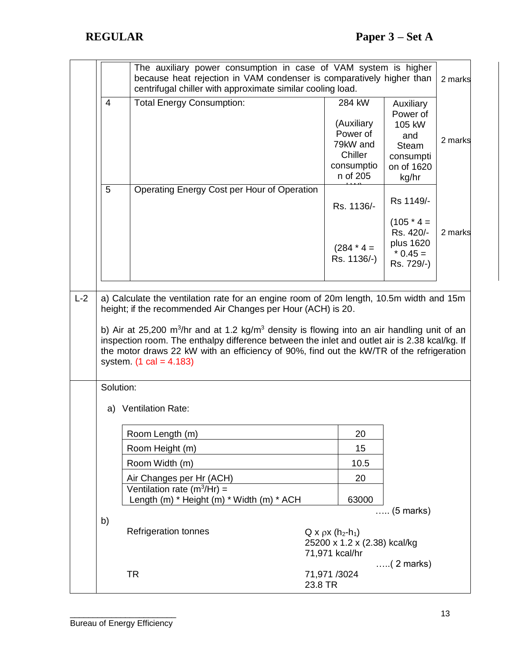|       | The auxiliary power consumption in case of VAM system is higher<br>because heat rejection in VAM condenser is comparatively higher than<br>centrifugal chiller with approximate similar cooling load. |                                                                                                                                                                                                                                                                                                                                               |                                                                                    |                                                                                   |                                                                                            |         |  |
|-------|-------------------------------------------------------------------------------------------------------------------------------------------------------------------------------------------------------|-----------------------------------------------------------------------------------------------------------------------------------------------------------------------------------------------------------------------------------------------------------------------------------------------------------------------------------------------|------------------------------------------------------------------------------------|-----------------------------------------------------------------------------------|--------------------------------------------------------------------------------------------|---------|--|
|       | $\overline{4}$                                                                                                                                                                                        | <b>Total Energy Consumption:</b>                                                                                                                                                                                                                                                                                                              |                                                                                    | 284 kW<br>(Auxiliary<br>Power of<br>79kW and<br>Chiller<br>consumptio<br>n of 205 | Auxiliary<br>Power of<br>105 kW<br>and<br><b>Steam</b><br>consumpti<br>on of 1620<br>kg/hr | 2 marks |  |
|       | 5                                                                                                                                                                                                     | Operating Energy Cost per Hour of Operation                                                                                                                                                                                                                                                                                                   |                                                                                    | Rs. 1136/-                                                                        | Rs 1149/-                                                                                  |         |  |
|       |                                                                                                                                                                                                       |                                                                                                                                                                                                                                                                                                                                               |                                                                                    | $(284 * 4 =$<br>Rs. 1136/-)                                                       | $(105 * 4 =$<br>Rs. 420/-<br>plus 1620<br>$*$ 0.45 =<br>Rs. 729/-)                         | 2 marks |  |
| $L-2$ |                                                                                                                                                                                                       | a) Calculate the ventilation rate for an engine room of 20m length, 10.5m width and 15m<br>height; if the recommended Air Changes per Hour (ACH) is 20.                                                                                                                                                                                       |                                                                                    |                                                                                   |                                                                                            |         |  |
|       |                                                                                                                                                                                                       | b) Air at 25,200 m <sup>3</sup> /hr and at 1.2 kg/m <sup>3</sup> density is flowing into an air handling unit of an<br>inspection room. The enthalpy difference between the inlet and outlet air is 2.38 kcal/kg. If<br>the motor draws 22 kW with an efficiency of 90%, find out the kW/TR of the refrigeration<br>system. $(1 cal = 4.183)$ |                                                                                    |                                                                                   |                                                                                            |         |  |
|       | Solution:                                                                                                                                                                                             |                                                                                                                                                                                                                                                                                                                                               |                                                                                    |                                                                                   |                                                                                            |         |  |
|       | a)                                                                                                                                                                                                    | <b>Ventilation Rate:</b>                                                                                                                                                                                                                                                                                                                      |                                                                                    |                                                                                   |                                                                                            |         |  |
|       |                                                                                                                                                                                                       | Room Length (m)                                                                                                                                                                                                                                                                                                                               |                                                                                    | 20                                                                                |                                                                                            |         |  |
|       |                                                                                                                                                                                                       | Room Height (m)                                                                                                                                                                                                                                                                                                                               |                                                                                    | 15                                                                                |                                                                                            |         |  |
|       |                                                                                                                                                                                                       | Room Width (m)                                                                                                                                                                                                                                                                                                                                |                                                                                    | 10.5                                                                              |                                                                                            |         |  |
|       |                                                                                                                                                                                                       | Air Changes per Hr (ACH)                                                                                                                                                                                                                                                                                                                      |                                                                                    | 20                                                                                |                                                                                            |         |  |
|       |                                                                                                                                                                                                       | Ventilation rate ( $m^3$ /Hr) =<br>Length (m) * Height (m) * Width (m) * ACH                                                                                                                                                                                                                                                                  |                                                                                    | 63000                                                                             |                                                                                            |         |  |
|       | b)                                                                                                                                                                                                    |                                                                                                                                                                                                                                                                                                                                               |                                                                                    |                                                                                   | $\ldots$ (5 marks)                                                                         |         |  |
|       |                                                                                                                                                                                                       | <b>Refrigeration tonnes</b>                                                                                                                                                                                                                                                                                                                   | $Q \times \rho \times (h_2-h_1)$<br>25200 x 1.2 x (2.38) kcal/kg<br>71,971 kcal/hr |                                                                                   |                                                                                            |         |  |
|       |                                                                                                                                                                                                       | <b>TR</b>                                                                                                                                                                                                                                                                                                                                     | $\ldots$ (2 marks)<br>71,971 /3024<br>23.8 TR                                      |                                                                                   |                                                                                            |         |  |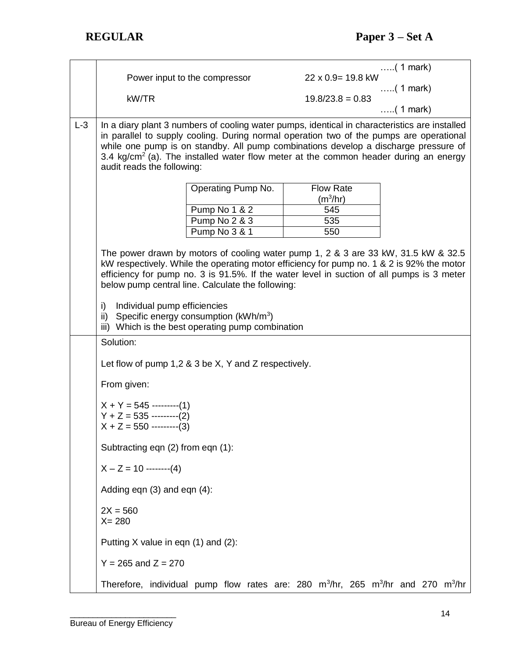|       |                                                                                                                      |                    |  |                           |                                                              | $\ldots$ (1 mark) |  |  |  |  |  |
|-------|----------------------------------------------------------------------------------------------------------------------|--------------------|--|---------------------------|--------------------------------------------------------------|-------------------|--|--|--|--|--|
|       | Power input to the compressor                                                                                        |                    |  | $22 \times 0.9 = 19.8$ kW |                                                              |                   |  |  |  |  |  |
|       | kW/TR                                                                                                                |                    |  |                           | $\ldots$ (1 mark)<br>$19.8/23.8 = 0.83$<br>$\ldots$ (1 mark) |                   |  |  |  |  |  |
|       |                                                                                                                      |                    |  |                           |                                                              |                   |  |  |  |  |  |
| $L-3$ | In a diary plant 3 numbers of cooling water pumps, identical in characteristics are installed                        |                    |  |                           |                                                              |                   |  |  |  |  |  |
|       | in parallel to supply cooling. During normal operation two of the pumps are operational                              |                    |  |                           |                                                              |                   |  |  |  |  |  |
|       | while one pump is on standby. All pump combinations develop a discharge pressure of                                  |                    |  |                           |                                                              |                   |  |  |  |  |  |
|       | 3.4 kg/cm <sup>2</sup> (a). The installed water flow meter at the common header during an energy                     |                    |  |                           |                                                              |                   |  |  |  |  |  |
|       | audit reads the following:                                                                                           |                    |  |                           |                                                              |                   |  |  |  |  |  |
|       |                                                                                                                      | Operating Pump No. |  |                           |                                                              | <b>Flow Rate</b>  |  |  |  |  |  |
|       |                                                                                                                      |                    |  |                           |                                                              | $(m^3/hr)$        |  |  |  |  |  |
|       |                                                                                                                      | Pump No 1 & 2      |  |                           |                                                              | 545               |  |  |  |  |  |
|       |                                                                                                                      | Pump No 2 & 3      |  |                           |                                                              | 535               |  |  |  |  |  |
|       |                                                                                                                      | Pump No 3 & 1      |  |                           |                                                              | 550               |  |  |  |  |  |
|       | The power drawn by motors of cooling water pump 1, 2 & 3 are 33 kW, 31.5 kW & 32.5                                   |                    |  |                           |                                                              |                   |  |  |  |  |  |
|       | kW respectively. While the operating motor efficiency for pump no. 1 & 2 is 92% the motor                            |                    |  |                           |                                                              |                   |  |  |  |  |  |
|       | efficiency for pump no. 3 is 91.5%. If the water level in suction of all pumps is 3 meter                            |                    |  |                           |                                                              |                   |  |  |  |  |  |
|       | below pump central line. Calculate the following:                                                                    |                    |  |                           |                                                              |                   |  |  |  |  |  |
|       | Individual pump efficiencies<br>i)                                                                                   |                    |  |                           |                                                              |                   |  |  |  |  |  |
|       | Specific energy consumption (kWh/m <sup>3</sup> )<br>ii)                                                             |                    |  |                           |                                                              |                   |  |  |  |  |  |
|       | iii) Which is the best operating pump combination                                                                    |                    |  |                           |                                                              |                   |  |  |  |  |  |
|       | Solution:                                                                                                            |                    |  |                           |                                                              |                   |  |  |  |  |  |
|       | Let flow of pump $1,2,8,3$ be X, Y and Z respectively.                                                               |                    |  |                           |                                                              |                   |  |  |  |  |  |
|       |                                                                                                                      |                    |  |                           |                                                              |                   |  |  |  |  |  |
|       | From given:                                                                                                          |                    |  |                           |                                                              |                   |  |  |  |  |  |
|       | $X + Y = 545$ --------(1)                                                                                            |                    |  |                           |                                                              |                   |  |  |  |  |  |
|       | $Y + Z = 535$ --------(2)                                                                                            |                    |  |                           |                                                              |                   |  |  |  |  |  |
|       | $X + Z = 550$ --------(3)                                                                                            |                    |  |                           |                                                              |                   |  |  |  |  |  |
|       | Subtracting eqn (2) from eqn (1):                                                                                    |                    |  |                           |                                                              |                   |  |  |  |  |  |
|       | $X - Z = 10$ --------(4)                                                                                             |                    |  |                           |                                                              |                   |  |  |  |  |  |
|       |                                                                                                                      |                    |  |                           |                                                              |                   |  |  |  |  |  |
|       | Adding eqn (3) and eqn (4):                                                                                          |                    |  |                           |                                                              |                   |  |  |  |  |  |
|       | $2X = 560$<br>$X = 280$                                                                                              |                    |  |                           |                                                              |                   |  |  |  |  |  |
|       | Putting X value in eqn (1) and (2):                                                                                  |                    |  |                           |                                                              |                   |  |  |  |  |  |
|       | $Y = 265$ and $Z = 270$                                                                                              |                    |  |                           |                                                              |                   |  |  |  |  |  |
|       | Therefore, individual pump flow rates are: 280 m <sup>3</sup> /hr, 265 m <sup>3</sup> /hr and 270 m <sup>3</sup> /hr |                    |  |                           |                                                              |                   |  |  |  |  |  |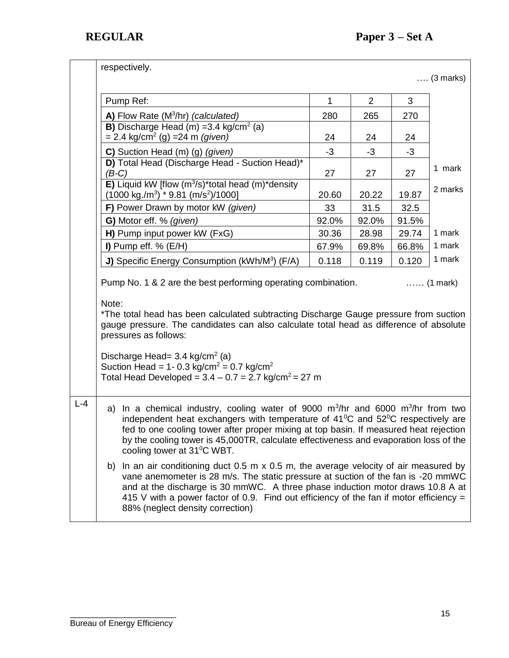|         | respectively.                                                                                                                                                                                                                                                                                                                                                                                                                                                                                                                                                                                                                                                                                                                                                                                                       |              |                |       |         |  |  |  |
|---------|---------------------------------------------------------------------------------------------------------------------------------------------------------------------------------------------------------------------------------------------------------------------------------------------------------------------------------------------------------------------------------------------------------------------------------------------------------------------------------------------------------------------------------------------------------------------------------------------------------------------------------------------------------------------------------------------------------------------------------------------------------------------------------------------------------------------|--------------|----------------|-------|---------|--|--|--|
|         | $\ldots$ (3 marks)                                                                                                                                                                                                                                                                                                                                                                                                                                                                                                                                                                                                                                                                                                                                                                                                  |              |                |       |         |  |  |  |
|         | Pump Ref:                                                                                                                                                                                                                                                                                                                                                                                                                                                                                                                                                                                                                                                                                                                                                                                                           | $\mathbf{1}$ | $\overline{2}$ | 3     |         |  |  |  |
|         | A) Flow Rate (M <sup>3</sup> /hr) (calculated)                                                                                                                                                                                                                                                                                                                                                                                                                                                                                                                                                                                                                                                                                                                                                                      | 280          | 265            | 270   |         |  |  |  |
|         | <b>B)</b> Discharge Head (m) = 3.4 kg/cm <sup>2</sup> (a)<br>$= 2.4$ kg/cm <sup>2</sup> (g) = 24 m <i>(given)</i>                                                                                                                                                                                                                                                                                                                                                                                                                                                                                                                                                                                                                                                                                                   | 24           | 24             | 24    |         |  |  |  |
|         | C) Suction Head (m) (g) (given)                                                                                                                                                                                                                                                                                                                                                                                                                                                                                                                                                                                                                                                                                                                                                                                     | $-3$         | $-3$           | $-3$  |         |  |  |  |
|         | D) Total Head (Discharge Head - Suction Head)*<br>$(B-C)$                                                                                                                                                                                                                                                                                                                                                                                                                                                                                                                                                                                                                                                                                                                                                           | 27           | 27             | 27    | 1 mark  |  |  |  |
|         | E) Liquid kW [flow (m <sup>3</sup> /s)*total head (m)*density<br>$(1000 \text{ kg./m}^3)$ * 9.81 (m/s <sup>2</sup> )/1000]                                                                                                                                                                                                                                                                                                                                                                                                                                                                                                                                                                                                                                                                                          | 20.60        | 20.22          | 19.87 | 2 marks |  |  |  |
|         | F) Power Drawn by motor kW (given)                                                                                                                                                                                                                                                                                                                                                                                                                                                                                                                                                                                                                                                                                                                                                                                  | 33           | 31.5           | 32.5  |         |  |  |  |
|         | G) Motor eff. % (given)                                                                                                                                                                                                                                                                                                                                                                                                                                                                                                                                                                                                                                                                                                                                                                                             | 92.0%        | 92.0%          | 91.5% |         |  |  |  |
|         | H) Pump input power kW (FxG)                                                                                                                                                                                                                                                                                                                                                                                                                                                                                                                                                                                                                                                                                                                                                                                        | 30.36        | 28.98          | 29.74 | 1 mark  |  |  |  |
|         | I) Pump eff. $%$ (E/H)                                                                                                                                                                                                                                                                                                                                                                                                                                                                                                                                                                                                                                                                                                                                                                                              | 67.9%        | 69.8%          | 66.8% | 1 mark  |  |  |  |
|         | J) Specific Energy Consumption (kWh/M <sup>3</sup> ) (F/A)                                                                                                                                                                                                                                                                                                                                                                                                                                                                                                                                                                                                                                                                                                                                                          | 0.118        | 0.119          | 0.120 | 1 mark  |  |  |  |
|         | Pump No. 1 & 2 are the best performing operating combination.<br>$\ldots$ (1 mark)<br>Note:<br>*The total head has been calculated subtracting Discharge Gauge pressure from suction<br>gauge pressure. The candidates can also calculate total head as difference of absolute<br>pressures as follows:<br>Discharge Head= $3.4 \text{ kg/cm}^2$ (a)<br>Suction Head = $1 - 0.3$ kg/cm <sup>2</sup> = 0.7 kg/cm <sup>2</sup><br>Total Head Developed = $3.4 - 0.7 = 2.7$ kg/cm <sup>2</sup> = 27 m                                                                                                                                                                                                                                                                                                                  |              |                |       |         |  |  |  |
| $L - 4$ | a) In a chemical industry, cooling water of 9000 $m^3/hr$ and 6000 $m^3/hr$ from two<br>independent heat exchangers with temperature of $41^{\circ}$ C and $52^{\circ}$ C respectively are<br>fed to one cooling tower after proper mixing at top basin. If measured heat rejection<br>by the cooling tower is 45,000TR, calculate effectiveness and evaporation loss of the<br>cooling tower at 31°C WBT.<br>In an air conditioning duct 0.5 m $\times$ 0.5 m, the average velocity of air measured by<br>b)<br>vane anemometer is 28 m/s. The static pressure at suction of the fan is -20 mmWC<br>and at the discharge is 30 mmWC. A three phase induction motor draws 10.8 A at<br>415 V with a power factor of 0.9. Find out efficiency of the fan if motor efficiency $=$<br>88% (neglect density correction) |              |                |       |         |  |  |  |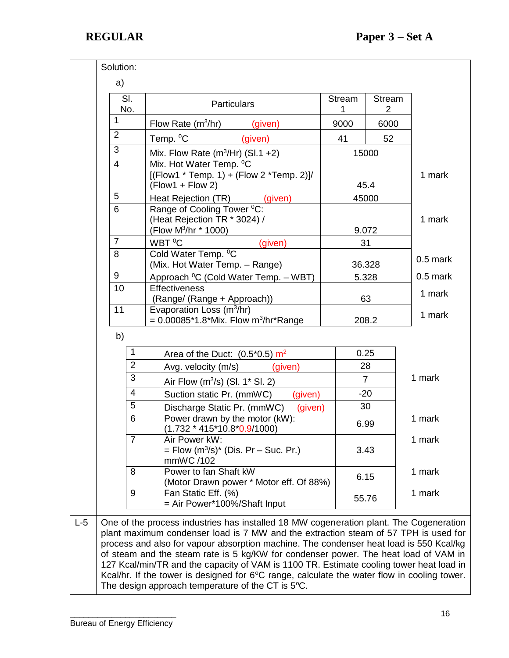|       | SI.<br>No.                                                            |                | <b>Particulars</b>                                                                                                                                                                                                                                                                                                                                                                                                                                                                                                                                                                                                      | <b>Stream</b><br>1  | Stream<br>$\overline{2}$ |            |  |
|-------|-----------------------------------------------------------------------|----------------|-------------------------------------------------------------------------------------------------------------------------------------------------------------------------------------------------------------------------------------------------------------------------------------------------------------------------------------------------------------------------------------------------------------------------------------------------------------------------------------------------------------------------------------------------------------------------------------------------------------------------|---------------------|--------------------------|------------|--|
|       | $\mathbf{1}$                                                          |                | Flow Rate $(m^3/hr)$<br>(given)                                                                                                                                                                                                                                                                                                                                                                                                                                                                                                                                                                                         | 9000                | 6000                     |            |  |
|       | 2                                                                     |                | Temp. <sup>0</sup> C<br>(given)                                                                                                                                                                                                                                                                                                                                                                                                                                                                                                                                                                                         | 41                  | 52                       |            |  |
|       | 3<br>$\overline{4}$                                                   |                | Mix. Flow Rate $(m^3/Hr)$ (Sl.1 +2)                                                                                                                                                                                                                                                                                                                                                                                                                                                                                                                                                                                     | 15000               |                          |            |  |
|       |                                                                       |                | Mix. Hot Water Temp. <sup>0</sup> C<br>$[(Flow1 * Temp. 1) + (Flow 2 *Temp. 2)]/$<br>$(Flow1 + Flow2)$                                                                                                                                                                                                                                                                                                                                                                                                                                                                                                                  |                     | 45.4                     | 1 mark     |  |
|       | 5                                                                     |                | Heat Rejection (TR)<br>(given)                                                                                                                                                                                                                                                                                                                                                                                                                                                                                                                                                                                          |                     | 45000                    |            |  |
|       | 6                                                                     |                | Range of Cooling Tower <sup>0</sup> C:<br>(Heat Rejection TR * 3024) /<br>(Flow M <sup>3</sup> /hr * 1000)                                                                                                                                                                                                                                                                                                                                                                                                                                                                                                              |                     | 9.072                    | 1 mark     |  |
|       | $\overline{7}$                                                        |                | WBT <sup>O</sup> C<br>(given)                                                                                                                                                                                                                                                                                                                                                                                                                                                                                                                                                                                           | 31                  |                          |            |  |
|       | 8                                                                     |                | Cold Water Temp. <sup>o</sup> C<br>(Mix. Hot Water Temp. - Range)                                                                                                                                                                                                                                                                                                                                                                                                                                                                                                                                                       |                     | 36.328                   | $0.5$ mark |  |
|       | 9                                                                     |                | Approach <sup>o</sup> C (Cold Water Temp. - WBT)                                                                                                                                                                                                                                                                                                                                                                                                                                                                                                                                                                        |                     | 5.328                    | $0.5$ mark |  |
|       | 10<br>11                                                              |                | <b>Effectiveness</b><br>(Range/ (Range + Approach))                                                                                                                                                                                                                                                                                                                                                                                                                                                                                                                                                                     |                     | 63                       | 1 mark     |  |
|       |                                                                       |                | Evaporation Loss (m <sup>3</sup> /hr)<br>$= 0.00085*1.8*Mix. Flow m3/hr*Range$                                                                                                                                                                                                                                                                                                                                                                                                                                                                                                                                          | 208.2               |                          | 1 mark     |  |
|       | b)                                                                    |                |                                                                                                                                                                                                                                                                                                                                                                                                                                                                                                                                                                                                                         |                     |                          |            |  |
|       |                                                                       | 1              | Area of the Duct: $(0.5^*0.5)$ m <sup>2</sup>                                                                                                                                                                                                                                                                                                                                                                                                                                                                                                                                                                           |                     | 0.25                     |            |  |
|       |                                                                       | $\overline{2}$ | Avg. velocity (m/s)<br>(given)                                                                                                                                                                                                                                                                                                                                                                                                                                                                                                                                                                                          |                     | 28                       |            |  |
|       |                                                                       | 3              | Air Flow $(m^3/s)$ (SI. 1* SI. 2)                                                                                                                                                                                                                                                                                                                                                                                                                                                                                                                                                                                       |                     | $\overline{7}$           | 1 mark     |  |
|       |                                                                       | 4              | Suction static Pr. (mmWC)<br>(given)                                                                                                                                                                                                                                                                                                                                                                                                                                                                                                                                                                                    | $-20$<br>30<br>6.99 |                          |            |  |
|       |                                                                       | 5              | Discharge Static Pr. (mmWC)<br>(given)                                                                                                                                                                                                                                                                                                                                                                                                                                                                                                                                                                                  |                     |                          | 1 mark     |  |
|       |                                                                       | 6              | Power drawn by the motor (kW):<br>$(1.732 * 415 * 10.8 * 0.9 / 1000)$                                                                                                                                                                                                                                                                                                                                                                                                                                                                                                                                                   |                     |                          |            |  |
|       |                                                                       | $\overline{7}$ | Air Power kW:<br>= Flow $(m^3/s)^*$ (Dis. Pr – Suc. Pr.)<br>mmWC /102                                                                                                                                                                                                                                                                                                                                                                                                                                                                                                                                                   |                     | 1 mark<br>3.43           |            |  |
|       | Power to fan Shaft kW<br>8<br>(Motor Drawn power * Motor eff. Of 88%) |                |                                                                                                                                                                                                                                                                                                                                                                                                                                                                                                                                                                                                                         | 6.15                |                          | 1 mark     |  |
|       |                                                                       | 9              | Fan Static Eff. (%)<br>= Air Power*100%/Shaft Input                                                                                                                                                                                                                                                                                                                                                                                                                                                                                                                                                                     | 55.76               |                          | 1 mark     |  |
| $L-5$ |                                                                       |                | One of the process industries has installed 18 MW cogeneration plant. The Cogeneration<br>plant maximum condenser load is 7 MW and the extraction steam of 57 TPH is used for<br>process and also for vapour absorption machine. The condenser heat load is 550 Kcal/kg<br>of steam and the steam rate is 5 kg/KW for condenser power. The heat load of VAM in<br>127 Kcal/min/TR and the capacity of VAM is 1100 TR. Estimate cooling tower heat load in<br>Kcal/hr. If the tower is designed for 6°C range, calculate the water flow in cooling tower.<br>The design approach temperature of the CT is $5^{\circ}$ C. |                     |                          |            |  |